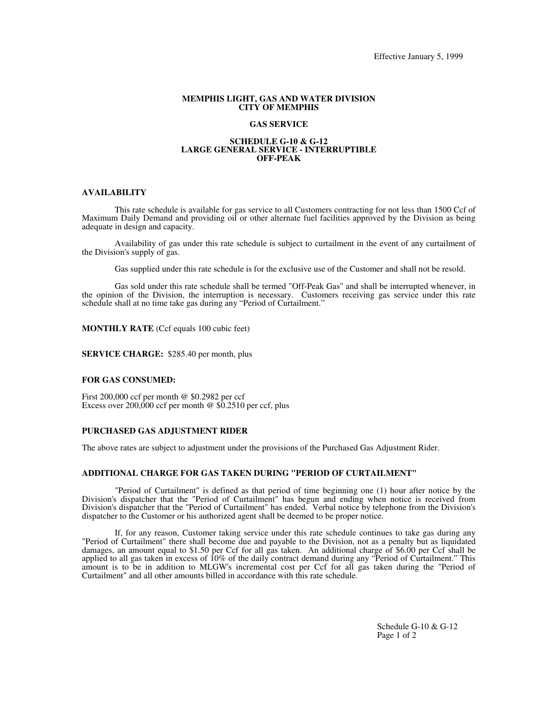### **MEMPHIS LIGHT, GAS AND WATER DIVISION CITY OF MEMPHIS**

### **GAS SERVICE**

#### **SCHEDULE G-10 & G-12 LARGE GENERAL SERVICE - INTERRUPTIBLE OFF-PEAK**

#### **AVAILABILITY**

This rate schedule is available for gas service to all Customers contracting for not less than 1500 Ccf of Maximum Daily Demand and providing oil or other alternate fuel facilities approved by the Division as being adequate in design and capacity.

Availability of gas under this rate schedule is subject to curtailment in the event of any curtailment of the Division's supply of gas.

Gas supplied under this rate schedule is for the exclusive use of the Customer and shall not be resold.

Gas sold under this rate schedule shall be termed "Off-Peak Gas" and shall be interrupted whenever, in the opinion of the Division, the interruption is necessary. Customers receiving gas service under this rate schedule shall at no time take gas during any "Period of Curtailment."

**MONTHLY RATE** (Ccf equals 100 cubic feet)

**SERVICE CHARGE:** \$285.40 per month, plus

#### **FOR GAS CONSUMED:**

First 200,000 ccf per month @ \$0.2982 per ccf Excess over  $200,000$  ccf per month @ \$0.2510 per ccf, plus

### **PURCHASED GAS ADJUSTMENT RIDER**

The above rates are subject to adjustment under the provisions of the Purchased Gas Adjustment Rider.

### **ADDITIONAL CHARGE FOR GAS TAKEN DURING "PERIOD OF CURTAILMENT"**

"Period of Curtailment" is defined as that period of time beginning one (1) hour after notice by the Division's dispatcher that the "Period of Curtailment" has begun and ending when notice is received from Division's dispatcher that the "Period of Curtailment" has ended. Verbal notice by telephone from the Division's dispatcher to the Customer or his authorized agent shall be deemed to be proper notice.

If, for any reason, Customer taking service under this rate schedule continues to take gas during any "Period of Curtailment" there shall become due and payable to the Division, not as a penalty but as liquidated damages, an amount equal to \$1.50 per Ccf for all gas taken. An additional charge of \$6.00 per Ccf shall be applied to all gas taken in excess of 10% of the daily contract demand during any "Period of Curtailment." This amount is to be in addition to MLGW's incremental cost per Ccf for all gas taken during the "Period of Curtailment" and all other amounts billed in accordance with this rate schedule.

> Schedule G-10 & G-12 Page 1 of 2